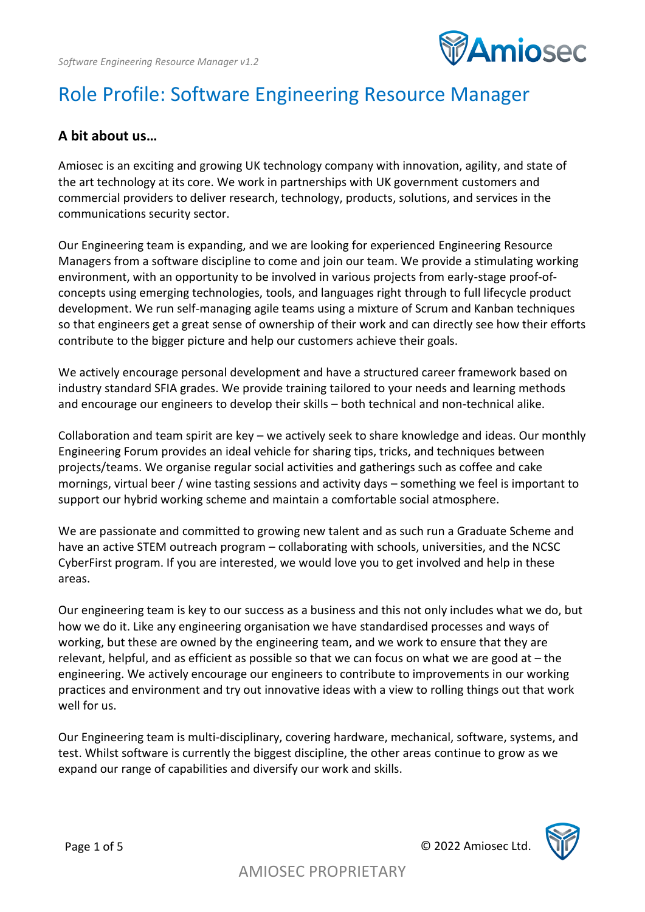

# Role Profile: Software Engineering Resource Manager

#### **A bit about us…**

Amiosec is an exciting and growing UK technology company with innovation, agility, and state of the art technology at its core. We work in partnerships with UK government customers and commercial providers to deliver research, technology, products, solutions, and services in the communications security sector.

Our Engineering team is expanding, and we are looking for experienced Engineering Resource Managers from a software discipline to come and join our team. We provide a stimulating working environment, with an opportunity to be involved in various projects from early-stage proof-ofconcepts using emerging technologies, tools, and languages right through to full lifecycle product development. We run self-managing agile teams using a mixture of Scrum and Kanban techniques so that engineers get a great sense of ownership of their work and can directly see how their efforts contribute to the bigger picture and help our customers achieve their goals.

We actively encourage personal development and have a structured career framework based on industry standard SFIA grades. We provide training tailored to your needs and learning methods and encourage our engineers to develop their skills – both technical and non-technical alike.

Collaboration and team spirit are key – we actively seek to share knowledge and ideas. Our monthly Engineering Forum provides an ideal vehicle for sharing tips, tricks, and techniques between projects/teams. We organise regular social activities and gatherings such as coffee and cake mornings, virtual beer / wine tasting sessions and activity days – something we feel is important to support our hybrid working scheme and maintain a comfortable social atmosphere.

We are passionate and committed to growing new talent and as such run a Graduate Scheme and have an active STEM outreach program – collaborating with schools, universities, and the NCSC CyberFirst program. If you are interested, we would love you to get involved and help in these areas.

Our engineering team is key to our success as a business and this not only includes what we do, but how we do it. Like any engineering organisation we have standardised processes and ways of working, but these are owned by the engineering team, and we work to ensure that they are relevant, helpful, and as efficient as possible so that we can focus on what we are good at – the engineering. We actively encourage our engineers to contribute to improvements in our working practices and environment and try out innovative ideas with a view to rolling things out that work well for us.

Our Engineering team is multi-disciplinary, covering hardware, mechanical, software, systems, and test. Whilst software is currently the biggest discipline, the other areas continue to grow as we expand our range of capabilities and diversify our work and skills.

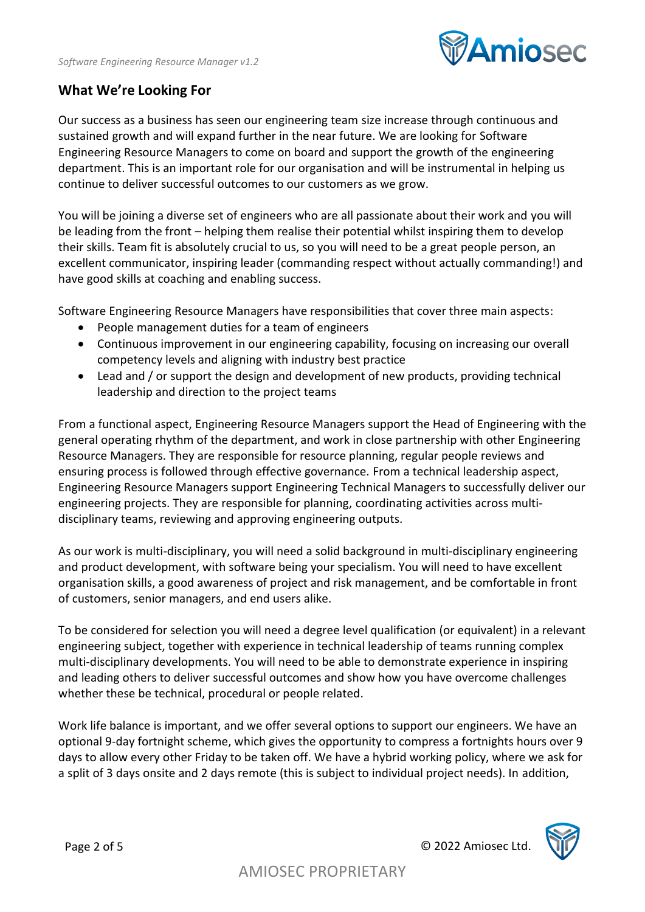

#### **What We're Looking For**

Our success as a business has seen our engineering team size increase through continuous and sustained growth and will expand further in the near future. We are looking for Software Engineering Resource Managers to come on board and support the growth of the engineering department. This is an important role for our organisation and will be instrumental in helping us continue to deliver successful outcomes to our customers as we grow.

You will be joining a diverse set of engineers who are all passionate about their work and you will be leading from the front – helping them realise their potential whilst inspiring them to develop their skills. Team fit is absolutely crucial to us, so you will need to be a great people person, an excellent communicator, inspiring leader (commanding respect without actually commanding!) and have good skills at coaching and enabling success.

Software Engineering Resource Managers have responsibilities that cover three main aspects:

- People management duties for a team of engineers
- Continuous improvement in our engineering capability, focusing on increasing our overall competency levels and aligning with industry best practice
- Lead and / or support the design and development of new products, providing technical leadership and direction to the project teams

From a functional aspect, Engineering Resource Managers support the Head of Engineering with the general operating rhythm of the department, and work in close partnership with other Engineering Resource Managers. They are responsible for resource planning, regular people reviews and ensuring process is followed through effective governance. From a technical leadership aspect, Engineering Resource Managers support Engineering Technical Managers to successfully deliver our engineering projects. They are responsible for planning, coordinating activities across multidisciplinary teams, reviewing and approving engineering outputs.

As our work is multi-disciplinary, you will need a solid background in multi-disciplinary engineering and product development, with software being your specialism. You will need to have excellent organisation skills, a good awareness of project and risk management, and be comfortable in front of customers, senior managers, and end users alike.

To be considered for selection you will need a degree level qualification (or equivalent) in a relevant engineering subject, together with experience in technical leadership of teams running complex multi-disciplinary developments. You will need to be able to demonstrate experience in inspiring and leading others to deliver successful outcomes and show how you have overcome challenges whether these be technical, procedural or people related.

Work life balance is important, and we offer several options to support our engineers. We have an optional 9-day fortnight scheme, which gives the opportunity to compress a fortnights hours over 9 days to allow every other Friday to be taken off. We have a hybrid working policy, where we ask for a split of 3 days onsite and 2 days remote (this is subject to individual project needs). In addition,

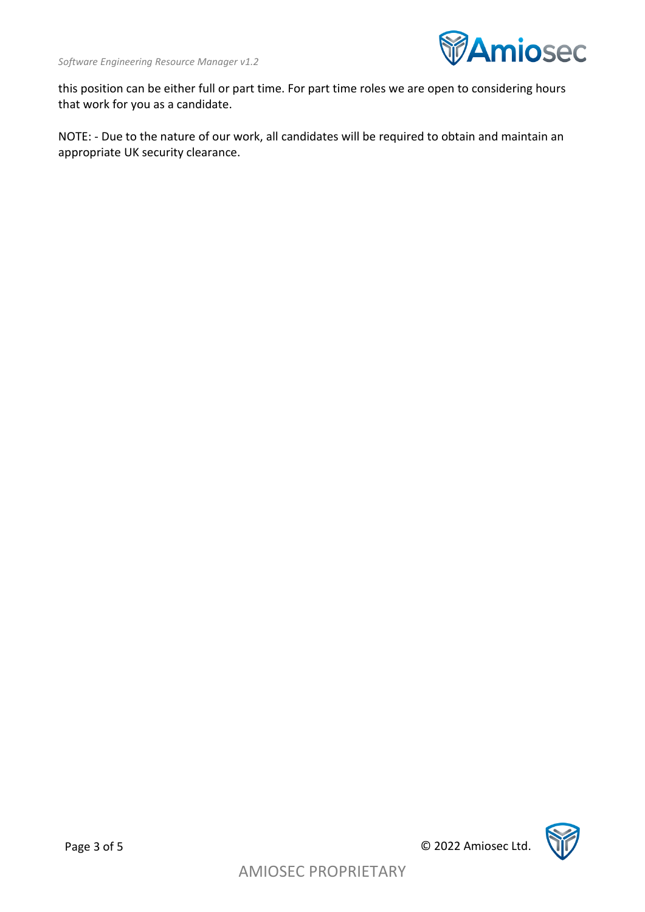

this position can be either full or part time. For part time roles we are open to considering hours that work for you as a candidate.

NOTE: - Due to the nature of our work, all candidates will be required to obtain and maintain an appropriate UK security clearance.

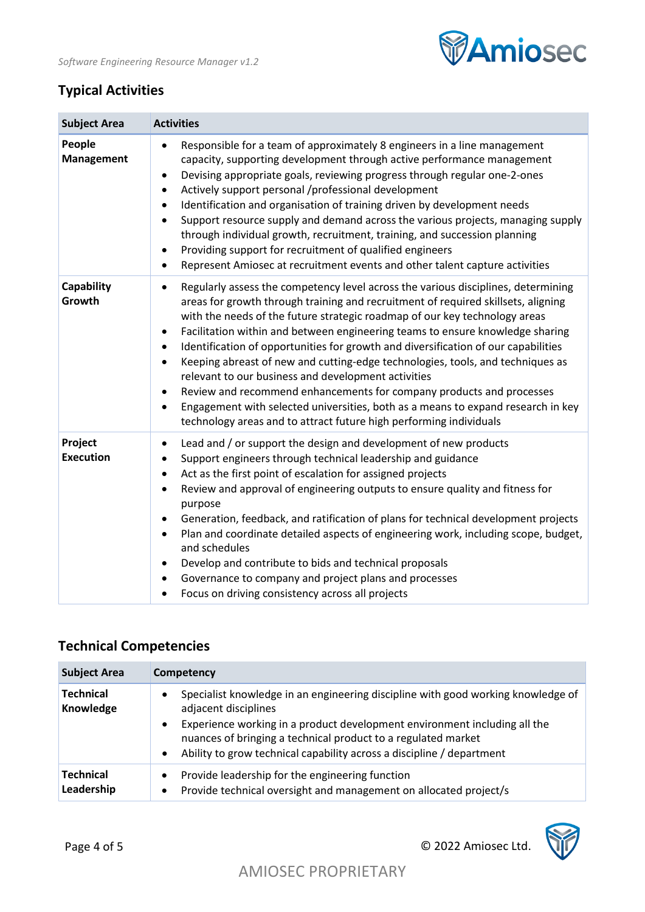

## **Typical Activities**

| <b>Subject Area</b>         | <b>Activities</b>                                                                                                                                                                                                                                                                                                                                                                                                                                                                                                                                                                                                                                                                                                                                                                                                                               |
|-----------------------------|-------------------------------------------------------------------------------------------------------------------------------------------------------------------------------------------------------------------------------------------------------------------------------------------------------------------------------------------------------------------------------------------------------------------------------------------------------------------------------------------------------------------------------------------------------------------------------------------------------------------------------------------------------------------------------------------------------------------------------------------------------------------------------------------------------------------------------------------------|
| People<br>Management        | Responsible for a team of approximately 8 engineers in a line management<br>capacity, supporting development through active performance management<br>Devising appropriate goals, reviewing progress through regular one-2-ones<br>$\bullet$<br>Actively support personal /professional development<br>٠<br>Identification and organisation of training driven by development needs<br>$\bullet$<br>Support resource supply and demand across the various projects, managing supply<br>٠<br>through individual growth, recruitment, training, and succession planning<br>Providing support for recruitment of qualified engineers<br>$\bullet$<br>Represent Amiosec at recruitment events and other talent capture activities<br>٠                                                                                                              |
| Capability<br>Growth        | Regularly assess the competency level across the various disciplines, determining<br>٠<br>areas for growth through training and recruitment of required skillsets, aligning<br>with the needs of the future strategic roadmap of our key technology areas<br>Facilitation within and between engineering teams to ensure knowledge sharing<br>$\bullet$<br>Identification of opportunities for growth and diversification of our capabilities<br>٠<br>Keeping abreast of new and cutting-edge technologies, tools, and techniques as<br>$\bullet$<br>relevant to our business and development activities<br>Review and recommend enhancements for company products and processes<br>٠<br>Engagement with selected universities, both as a means to expand research in key<br>technology areas and to attract future high performing individuals |
| Project<br><b>Execution</b> | Lead and / or support the design and development of new products<br>٠<br>Support engineers through technical leadership and guidance<br>٠<br>Act as the first point of escalation for assigned projects<br>٠<br>Review and approval of engineering outputs to ensure quality and fitness for<br>$\bullet$<br>purpose<br>Generation, feedback, and ratification of plans for technical development projects<br>$\bullet$<br>Plan and coordinate detailed aspects of engineering work, including scope, budget,<br>٠<br>and schedules<br>Develop and contribute to bids and technical proposals<br>٠<br>Governance to company and project plans and processes<br>٠<br>Focus on driving consistency across all projects<br>٠                                                                                                                       |

## **Technical Competencies**

| <b>Subject Area</b>            | Competency                                                                                                                                                                                                                                                                                                                      |
|--------------------------------|---------------------------------------------------------------------------------------------------------------------------------------------------------------------------------------------------------------------------------------------------------------------------------------------------------------------------------|
| <b>Technical</b><br>Knowledge  | Specialist knowledge in an engineering discipline with good working knowledge of<br>adjacent disciplines<br>Experience working in a product development environment including all the<br>nuances of bringing a technical product to a regulated market<br>Ability to grow technical capability across a discipline / department |
| <b>Technical</b><br>Leadership | Provide leadership for the engineering function<br>Provide technical oversight and management on allocated project/s                                                                                                                                                                                                            |